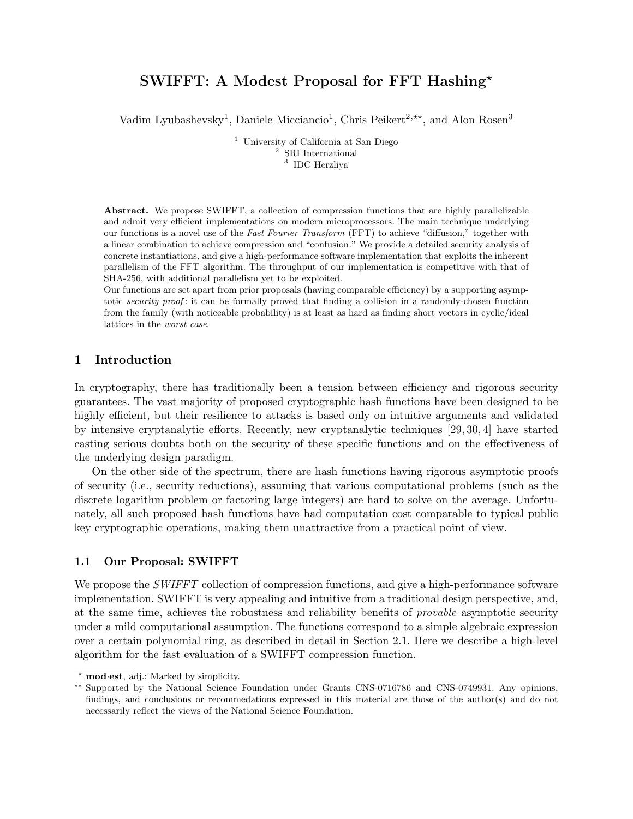# SWIFFT: A Modest Proposal for FFT Hashing?

Vadim Lyubashevsky<sup>1</sup>, Daniele Micciancio<sup>1</sup>, Chris Peikert<sup>2,\*\*</sup>, and Alon Rosen<sup>3</sup>

<sup>1</sup> University of California at San Diego  $^2$  SRI International  $^3$  IDC Herzliya

Abstract. We propose SWIFFT, a collection of compression functions that are highly parallelizable and admit very efficient implementations on modern microprocessors. The main technique underlying our functions is a novel use of the Fast Fourier Transform (FFT) to achieve "diffusion," together with a linear combination to achieve compression and "confusion." We provide a detailed security analysis of concrete instantiations, and give a high-performance software implementation that exploits the inherent parallelism of the FFT algorithm. The throughput of our implementation is competitive with that of SHA-256, with additional parallelism yet to be exploited.

Our functions are set apart from prior proposals (having comparable efficiency) by a supporting asymptotic *security proof*: it can be formally proved that finding a collision in a randomly-chosen function from the family (with noticeable probability) is at least as hard as finding short vectors in cyclic/ideal lattices in the worst case.

# 1 Introduction

In cryptography, there has traditionally been a tension between efficiency and rigorous security guarantees. The vast majority of proposed cryptographic hash functions have been designed to be highly efficient, but their resilience to attacks is based only on intuitive arguments and validated by intensive cryptanalytic efforts. Recently, new cryptanalytic techniques [29, 30, 4] have started casting serious doubts both on the security of these specific functions and on the effectiveness of the underlying design paradigm.

On the other side of the spectrum, there are hash functions having rigorous asymptotic proofs of security (i.e., security reductions), assuming that various computational problems (such as the discrete logarithm problem or factoring large integers) are hard to solve on the average. Unfortunately, all such proposed hash functions have had computation cost comparable to typical public key cryptographic operations, making them unattractive from a practical point of view.

# 1.1 Our Proposal: SWIFFT

We propose the *SWIFFT* collection of compression functions, and give a high-performance software implementation. SWIFFT is very appealing and intuitive from a traditional design perspective, and, at the same time, achieves the robustness and reliability benefits of provable asymptotic security under a mild computational assumption. The functions correspond to a simple algebraic expression over a certain polynomial ring, as described in detail in Section 2.1. Here we describe a high-level algorithm for the fast evaluation of a SWIFFT compression function.

<sup>?</sup> mod·est, adj.: Marked by simplicity.

<sup>\*\*</sup> Supported by the National Science Foundation under Grants CNS-0716786 and CNS-0749931. Any opinions, findings, and conclusions or recommedations expressed in this material are those of the author(s) and do not necessarily reflect the views of the National Science Foundation.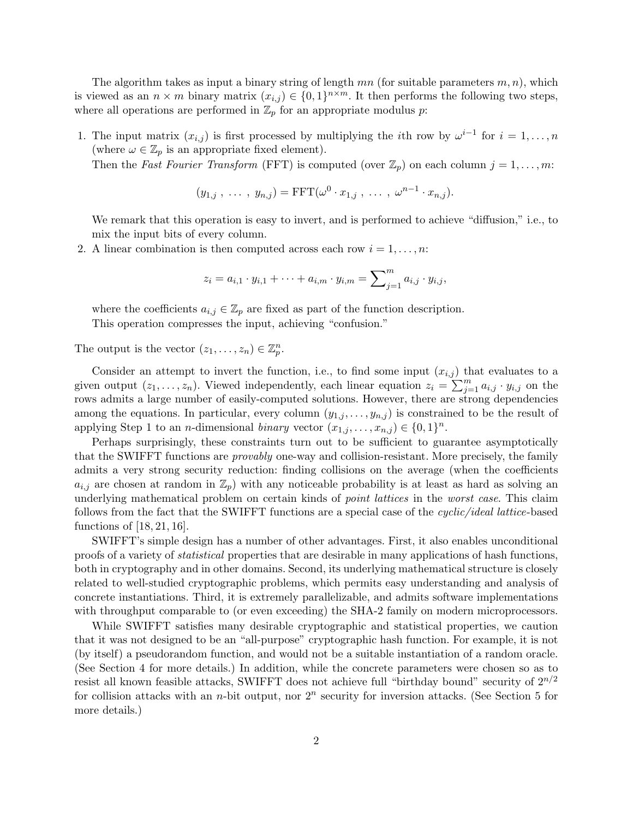The algorithm takes as input a binary string of length  $mn$  (for suitable parameters  $m, n$ ), which is viewed as an  $n \times m$  binary matrix  $(x_{i,j}) \in \{0,1\}^{n \times m}$ . It then performs the following two steps, where all operations are performed in  $\mathbb{Z}_p$  for an appropriate modulus p:

1. The input matrix  $(x_{i,j})$  is first processed by multiplying the *i*th row by  $\omega^{i-1}$  for  $i = 1, ..., n$ (where  $\omega \in \mathbb{Z}_p$  is an appropriate fixed element).

Then the Fast Fourier Transform (FFT) is computed (over  $\mathbb{Z}_p$ ) on each column  $j = 1, \ldots, m$ :

$$
(y_{1,j}, \ldots, y_{n,j}) = \text{FFT}(\omega^0 \cdot x_{1,j}, \ldots, \omega^{n-1} \cdot x_{n,j}).
$$

We remark that this operation is easy to invert, and is performed to achieve "diffusion," i.e., to mix the input bits of every column.

2. A linear combination is then computed across each row  $i = 1, \ldots, n$ :

$$
z_i = a_{i,1} \cdot y_{i,1} + \dots + a_{i,m} \cdot y_{i,m} = \sum_{j=1}^m a_{i,j} \cdot y_{i,j},
$$

where the coefficients  $a_{i,j} \in \mathbb{Z}_p$  are fixed as part of the function description.

This operation compresses the input, achieving "confusion."

The output is the vector  $(z_1, \ldots, z_n) \in \mathbb{Z}_p^n$ .

Consider an attempt to invert the function, i.e., to find some input  $(x_{i,j})$  that evaluates to a given output  $(z_1, \ldots, z_n)$ . Viewed independently, each linear equation  $z_i = \sum_{j=1}^m a_{i,j} \cdot y_{i,j}$  on the rows admits a large number of easily-computed solutions. However, there are strong dependencies among the equations. In particular, every column  $(y_{1,j},...,y_{n,j})$  is constrained to be the result of applying Step 1 to an *n*-dimensional *binary* vector  $(x_{1,j},...,x_{n,j}) \in \{0,1\}^n$ .

Perhaps surprisingly, these constraints turn out to be sufficient to guarantee asymptotically that the SWIFFT functions are provably one-way and collision-resistant. More precisely, the family admits a very strong security reduction: finding collisions on the average (when the coefficients  $a_{i,j}$  are chosen at random in  $\mathbb{Z}_p$ ) with any noticeable probability is at least as hard as solving an underlying mathematical problem on certain kinds of *point lattices* in the *worst case*. This claim follows from the fact that the SWIFFT functions are a special case of the cyclic/ideal lattice-based functions of  $[18, 21, 16]$ .

SWIFFT's simple design has a number of other advantages. First, it also enables unconditional proofs of a variety of statistical properties that are desirable in many applications of hash functions, both in cryptography and in other domains. Second, its underlying mathematical structure is closely related to well-studied cryptographic problems, which permits easy understanding and analysis of concrete instantiations. Third, it is extremely parallelizable, and admits software implementations with throughput comparable to (or even exceeding) the SHA-2 family on modern microprocessors.

While SWIFFT satisfies many desirable cryptographic and statistical properties, we caution that it was not designed to be an "all-purpose" cryptographic hash function. For example, it is not (by itself) a pseudorandom function, and would not be a suitable instantiation of a random oracle. (See Section 4 for more details.) In addition, while the concrete parameters were chosen so as to resist all known feasible attacks, SWIFFT does not achieve full "birthday bound" security of  $2^{n/2}$ for collision attacks with an *n*-bit output, nor  $2^n$  security for inversion attacks. (See Section 5 for more details.)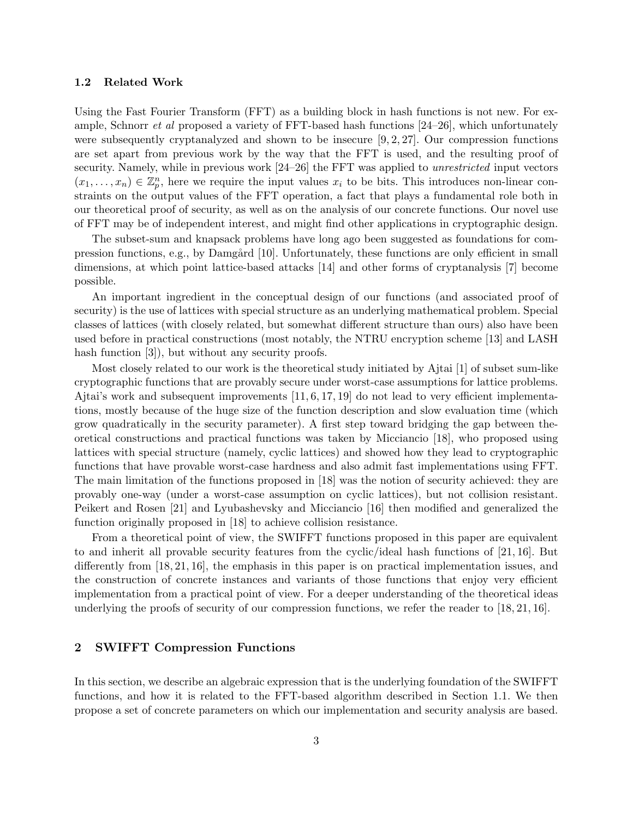#### 1.2 Related Work

Using the Fast Fourier Transform (FFT) as a building block in hash functions is not new. For example, Schnorr *et al* proposed a variety of  $FFT$ -based hash functions  $[24–26]$ , which unfortunately were subsequently cryptanalyzed and shown to be insecure  $[9, 2, 27]$ . Our compression functions are set apart from previous work by the way that the FFT is used, and the resulting proof of security. Namely, while in previous work [24–26] the FFT was applied to *unrestricted* input vectors  $(x_1, \ldots, x_n) \in \mathbb{Z}_p^n$ , here we require the input values  $x_i$  to be bits. This introduces non-linear constraints on the output values of the FFT operation, a fact that plays a fundamental role both in our theoretical proof of security, as well as on the analysis of our concrete functions. Our novel use of FFT may be of independent interest, and might find other applications in cryptographic design.

The subset-sum and knapsack problems have long ago been suggested as foundations for compression functions, e.g., by Damgård  $[10]$ . Unfortunately, these functions are only efficient in small dimensions, at which point lattice-based attacks [14] and other forms of cryptanalysis [7] become possible.

An important ingredient in the conceptual design of our functions (and associated proof of security) is the use of lattices with special structure as an underlying mathematical problem. Special classes of lattices (with closely related, but somewhat different structure than ours) also have been used before in practical constructions (most notably, the NTRU encryption scheme [13] and LASH hash function [3]), but without any security proofs.

Most closely related to our work is the theoretical study initiated by Ajtai [1] of subset sum-like cryptographic functions that are provably secure under worst-case assumptions for lattice problems. Ajtai's work and subsequent improvements  $[11, 6, 17, 19]$  do not lead to very efficient implementations, mostly because of the huge size of the function description and slow evaluation time (which grow quadratically in the security parameter). A first step toward bridging the gap between theoretical constructions and practical functions was taken by Micciancio [18], who proposed using lattices with special structure (namely, cyclic lattices) and showed how they lead to cryptographic functions that have provable worst-case hardness and also admit fast implementations using FFT. The main limitation of the functions proposed in [18] was the notion of security achieved: they are provably one-way (under a worst-case assumption on cyclic lattices), but not collision resistant. Peikert and Rosen [21] and Lyubashevsky and Micciancio [16] then modified and generalized the function originally proposed in [18] to achieve collision resistance.

From a theoretical point of view, the SWIFFT functions proposed in this paper are equivalent to and inherit all provable security features from the cyclic/ideal hash functions of [21, 16]. But differently from [18, 21, 16], the emphasis in this paper is on practical implementation issues, and the construction of concrete instances and variants of those functions that enjoy very efficient implementation from a practical point of view. For a deeper understanding of the theoretical ideas underlying the proofs of security of our compression functions, we refer the reader to [18, 21, 16].

# 2 SWIFFT Compression Functions

In this section, we describe an algebraic expression that is the underlying foundation of the SWIFFT functions, and how it is related to the FFT-based algorithm described in Section 1.1. We then propose a set of concrete parameters on which our implementation and security analysis are based.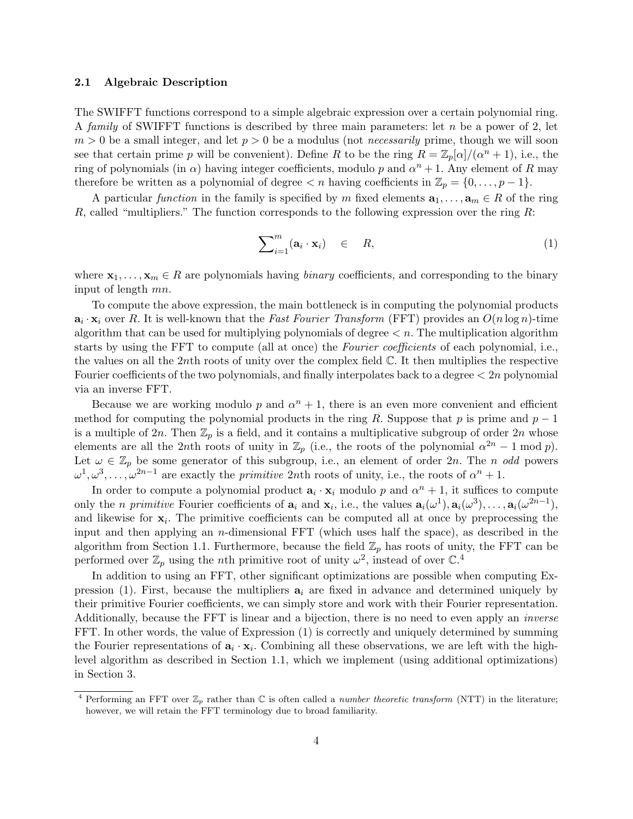#### 2.1 Algebraic Description

The SWIFFT functions correspond to a simple algebraic expression over a certain polynomial ring. A family of SWIFFT functions is described by three main parameters: let n be a power of 2, let  $m > 0$  be a small integer, and let  $p > 0$  be a modulus (not *necessarily* prime, though we will soon see that certain prime p will be convenient). Define R to be the ring  $R = \mathbb{Z}_p[\alpha]/(\alpha^n + 1)$ , i.e., the ring of polynomials (in  $\alpha$ ) having integer coefficients, modulo p and  $\alpha^{n} + 1$ . Any element of R may therefore be written as a polynomial of degree  $\langle n \rangle$  having coefficients in  $\mathbb{Z}_p = \{0, \ldots, p-1\}$ .

A particular function in the family is specified by m fixed elements  $\mathbf{a}_1, \ldots, \mathbf{a}_m \in R$  of the ring R, called "multipliers." The function corresponds to the following expression over the ring  $R$ :

$$
\sum_{i=1}^{m} (\mathbf{a}_i \cdot \mathbf{x}_i) \in R, \tag{1}
$$

where  $\mathbf{x}_1, \dots, \mathbf{x}_m \in R$  are polynomials having binary coefficients, and corresponding to the binary input of length mn.

To compute the above expression, the main bottleneck is in computing the polynomial products  $a_i \cdot x_i$  over R. It is well-known that the Fast Fourier Transform (FFT) provides an  $O(n \log n)$ -time algorithm that can be used for multiplying polynomials of degree  $\lt n$ . The multiplication algorithm starts by using the FFT to compute (all at once) the Fourier coefficients of each polynomial, i.e., the values on all the 2nth roots of unity over the complex field  $\mathbb{C}$ . It then multiplies the respective Fourier coefficients of the two polynomials, and finally interpolates back to a degree  $\lt 2n$  polynomial via an inverse FFT.

Because we are working modulo p and  $\alpha^{n} + 1$ , there is an even more convenient and efficient method for computing the polynomial products in the ring R. Suppose that p is prime and  $p-1$ is a multiple of  $2n$ . Then  $\mathbb{Z}_p$  is a field, and it contains a multiplicative subgroup of order  $2n$  whose elements are all the 2nth roots of unity in  $\mathbb{Z}_p$  (i.e., the roots of the polynomial  $\alpha^{2n} - 1 \mod p$ ). Let  $\omega \in \mathbb{Z}_p$  be some generator of this subgroup, i.e., an element of order 2n. The n odd powers  $\omega^1, \omega^3, \ldots, \omega^{2n-1}$  are exactly the *primitive 2nth* roots of unity, i.e., the roots of  $\alpha^n + 1$ .

In order to compute a polynomial product  $\mathbf{a}_i \cdot \mathbf{x}_i$  modulo p and  $\alpha^n + 1$ , it suffices to compute only the *n primitive* Fourier coefficients of  $a_i$  and  $x_i$ , i.e., the values  $a_i(\omega^1), a_i(\omega^3), \ldots, a_i(\omega^{2n-1}),$ and likewise for  $x_i$ . The primitive coefficients can be computed all at once by preprocessing the input and then applying an *n*-dimensional  $FFT$  (which uses half the space), as described in the algorithm from Section 1.1. Furthermore, because the field  $\mathbb{Z}_p$  has roots of unity, the FFT can be performed over  $\mathbb{Z}_p$  using the *n*th primitive root of unity  $\omega^2$ , instead of over  $\mathbb{C}^4$ .

In addition to using an FFT, other significant optimizations are possible when computing Expression (1). First, because the multipliers  $a_i$  are fixed in advance and determined uniquely by their primitive Fourier coefficients, we can simply store and work with their Fourier representation. Additionally, because the FFT is linear and a bijection, there is no need to even apply an inverse FFT. In other words, the value of Expression (1) is correctly and uniquely determined by summing the Fourier representations of  $a_i \cdot x_i$ . Combining all these observations, we are left with the highlevel algorithm as described in Section 1.1, which we implement (using additional optimizations) in Section 3.

<sup>&</sup>lt;sup>4</sup> Performing an FFT over  $\mathbb{Z}_p$  rather than  $\mathbb C$  is often called a *number theoretic transform* (NTT) in the literature; however, we will retain the FFT terminology due to broad familiarity.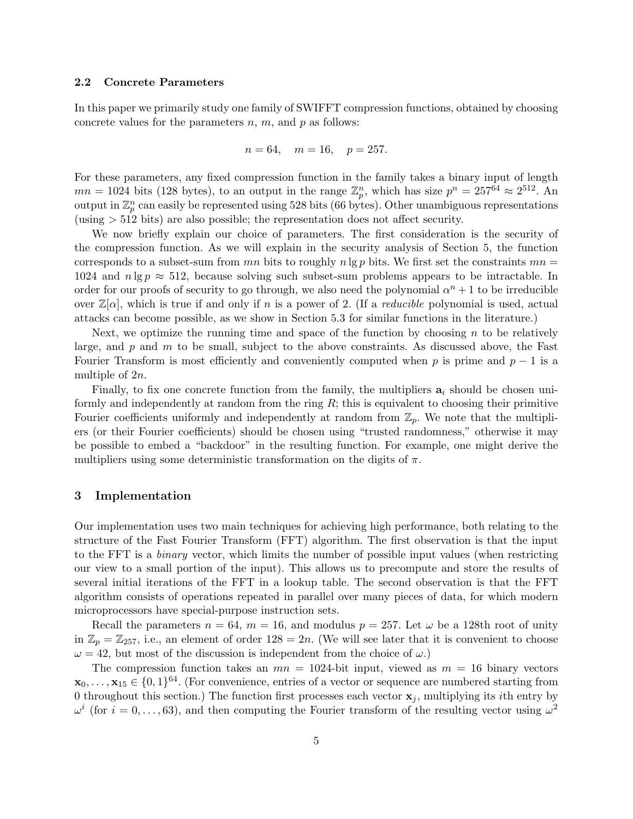#### 2.2 Concrete Parameters

In this paper we primarily study one family of SWIFFT compression functions, obtained by choosing concrete values for the parameters  $n, m$ , and  $p$  as follows:

$$
n = 64
$$
,  $m = 16$ ,  $p = 257$ .

For these parameters, any fixed compression function in the family takes a binary input of length  $mn = 1024$  bits (128 bytes), to an output in the range  $\mathbb{Z}_p^n$ , which has size  $p^n = 257^{64} \approx 2^{512}$ . An output in  $\mathbb{Z}_p^n$  can easily be represented using 528 bits (66 bytes). Other unambiguous representations (using > 512 bits) are also possible; the representation does not affect security.

We now briefly explain our choice of parameters. The first consideration is the security of the compression function. As we will explain in the security analysis of Section 5, the function corresponds to a subset-sum from mn bits to roughly n  $\lg p$  bits. We first set the constraints  $mn =$ 1024 and  $n \lg p \approx 512$ , because solving such subset-sum problems appears to be intractable. In order for our proofs of security to go through, we also need the polynomial  $\alpha^{n} + 1$  to be irreducible over  $\mathbb{Z}[\alpha]$ , which is true if and only if n is a power of 2. (If a *reducible* polynomial is used, actual attacks can become possible, as we show in Section 5.3 for similar functions in the literature.)

Next, we optimize the running time and space of the function by choosing  $n$  to be relatively large, and  $p$  and  $m$  to be small, subject to the above constraints. As discussed above, the Fast Fourier Transform is most efficiently and conveniently computed when p is prime and  $p-1$  is a multiple of 2n.

Finally, to fix one concrete function from the family, the multipliers  $a_i$  should be chosen uniformly and independently at random from the ring  $R$ ; this is equivalent to choosing their primitive Fourier coefficients uniformly and independently at random from  $\mathbb{Z}_p$ . We note that the multipliers (or their Fourier coefficients) should be chosen using "trusted randomness," otherwise it may be possible to embed a "backdoor" in the resulting function. For example, one might derive the multipliers using some deterministic transformation on the digits of  $\pi$ .

### 3 Implementation

Our implementation uses two main techniques for achieving high performance, both relating to the structure of the Fast Fourier Transform (FFT) algorithm. The first observation is that the input to the FFT is a binary vector, which limits the number of possible input values (when restricting our view to a small portion of the input). This allows us to precompute and store the results of several initial iterations of the FFT in a lookup table. The second observation is that the FFT algorithm consists of operations repeated in parallel over many pieces of data, for which modern microprocessors have special-purpose instruction sets.

Recall the parameters  $n = 64$ ,  $m = 16$ , and modulus  $p = 257$ . Let  $\omega$  be a 128th root of unity in  $\mathbb{Z}_p = \mathbb{Z}_{257}$ , i.e., an element of order  $128 = 2n$ . (We will see later that it is convenient to choose  $\omega = 42$ , but most of the discussion is independent from the choice of  $\omega$ .)

The compression function takes an  $mn = 1024$ -bit input, viewed as  $m = 16$  binary vectors  $\mathbf{x}_0, \ldots, \mathbf{x}_{15} \in \{0,1\}^{64}$ . (For convenience, entries of a vector or sequence are numbered starting from 0 throughout this section.) The function first processes each vector  $x_i$ , multiplying its *i*th entry by  $\omega^i$  (for  $i = 0, \ldots, 63$ ), and then computing the Fourier transform of the resulting vector using  $\omega^2$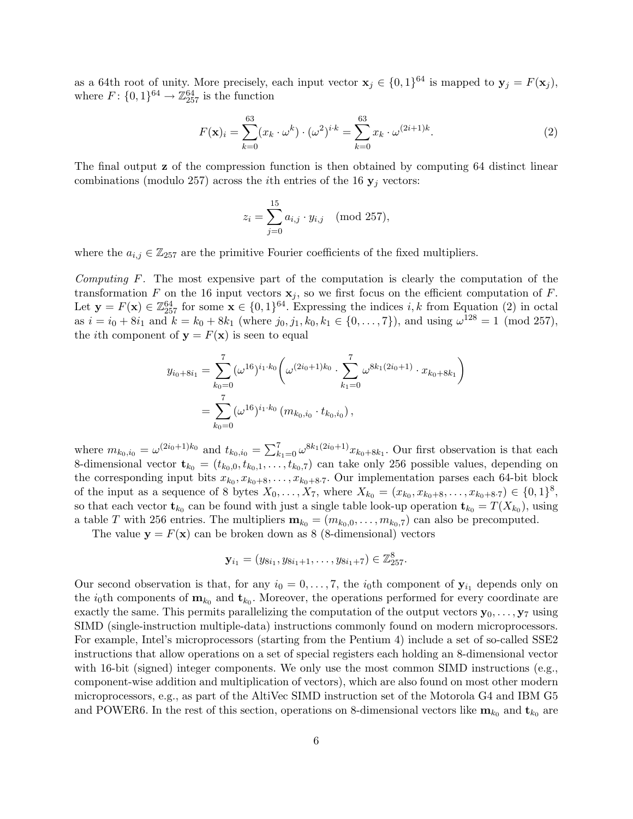as a 64th root of unity. More precisely, each input vector  $\mathbf{x}_j \in \{0,1\}^{64}$  is mapped to  $\mathbf{y}_j = F(\mathbf{x}_j)$ , where  $F: \{0,1\}^{64} \rightarrow \mathbb{Z}_{257}^{64}$  is the function

$$
F(\mathbf{x})_i = \sum_{k=0}^{63} (x_k \cdot \omega^k) \cdot (\omega^2)^{i \cdot k} = \sum_{k=0}^{63} x_k \cdot \omega^{(2i+1)k}.
$$
 (2)

The final output z of the compression function is then obtained by computing 64 distinct linear combinations (modulo 257) across the *i*th entries of the 16  $y_j$  vectors:

$$
z_i = \sum_{j=0}^{15} a_{i,j} \cdot y_{i,j} \pmod{257},
$$

where the  $a_{i,j} \in \mathbb{Z}_{257}$  are the primitive Fourier coefficients of the fixed multipliers.

Computing F. The most expensive part of the computation is clearly the computation of the transformation F on the 16 input vectors  $x_i$ , so we first focus on the efficient computation of F. Let  $\mathbf{y} = F(\mathbf{x}) \in \mathbb{Z}_{257}^{64}$  for some  $\mathbf{x} \in \{0,1\}^{64}$ . Expressing the indices i, k from Equation (2) in octal as  $i = i_0 + 8i_1$  and  $k = k_0 + 8k_1$  (where  $j_0, j_1, k_0, k_1 \in \{0, ..., 7\}$ ), and using  $\omega^{128} = 1 \pmod{257}$ , the *i*th component of  $y = F(x)$  is seen to equal

$$
y_{i_0+8i_1} = \sum_{k_0=0}^{7} (\omega^{16})^{i_1 \cdot k_0} \left( \omega^{(2i_0+1)k_0} \cdot \sum_{k_1=0}^{7} \omega^{8k_1(2i_0+1)} \cdot x_{k_0+8k_1} \right)
$$
  
= 
$$
\sum_{k_0=0}^{7} (\omega^{16})^{i_1 \cdot k_0} (m_{k_0,i_0} \cdot t_{k_0,i_0}),
$$

where  $m_{k_0,i_0} = \omega^{(2i_0+1)k_0}$  and  $t_{k_0,i_0} = \sum_{k_1=0}^{7} \omega^{8k_1(2i_0+1)} x_{k_0+8k_1}$ . Our first observation is that each 8-dimensional vector  $\mathbf{t}_{k_0} = (t_{k_0,0}, t_{k_0,1}, \ldots, t_{k_0,7})$  can take only 256 possible values, depending on the corresponding input bits  $x_{k_0}, x_{k_0+8}, \ldots, x_{k_0+8\cdot 7}$ . Our implementation parses each 64-bit block of the input as a sequence of 8 bytes  $X_0, \ldots, X_7$ , where  $X_{k_0} = (x_{k_0}, x_{k_0+8}, \ldots, x_{k_0+8\cdot7}) \in \{0,1\}^8$ , so that each vector  $\mathbf{t}_{k_0}$  can be found with just a single table look-up operation  $\mathbf{t}_{k_0} = T(X_{k_0})$ , using a table T with 256 entries. The multipliers  $\mathbf{m}_{k_0} = (m_{k_0,0}, \ldots, m_{k_0,7})$  can also be precomputed.

The value  $y = F(x)$  can be broken down as 8 (8-dimensional) vectors

$$
\mathbf{y}_{i_1} = (y_{8i_1}, y_{8i_1+1}, \ldots, y_{8i_1+7}) \in \mathbb{Z}_{257}^8.
$$

Our second observation is that, for any  $i_0 = 0, \ldots, 7$ , the  $i_0$ th component of  $y_{i_1}$  depends only on the  $i_0$ th components of  $\mathbf{m}_{k_0}$  and  $\mathbf{t}_{k_0}$ . Moreover, the operations performed for every coordinate are exactly the same. This permits parallelizing the computation of the output vectors  $y_0, \ldots, y_7$  using SIMD (single-instruction multiple-data) instructions commonly found on modern microprocessors. For example, Intel's microprocessors (starting from the Pentium 4) include a set of so-called SSE2 instructions that allow operations on a set of special registers each holding an 8-dimensional vector with 16-bit (signed) integer components. We only use the most common SIMD instructions (e.g., component-wise addition and multiplication of vectors), which are also found on most other modern microprocessors, e.g., as part of the AltiVec SIMD instruction set of the Motorola G4 and IBM G5 and POWER6. In the rest of this section, operations on 8-dimensional vectors like  $\mathbf{m}_{k_0}$  and  $\mathbf{t}_{k_0}$  are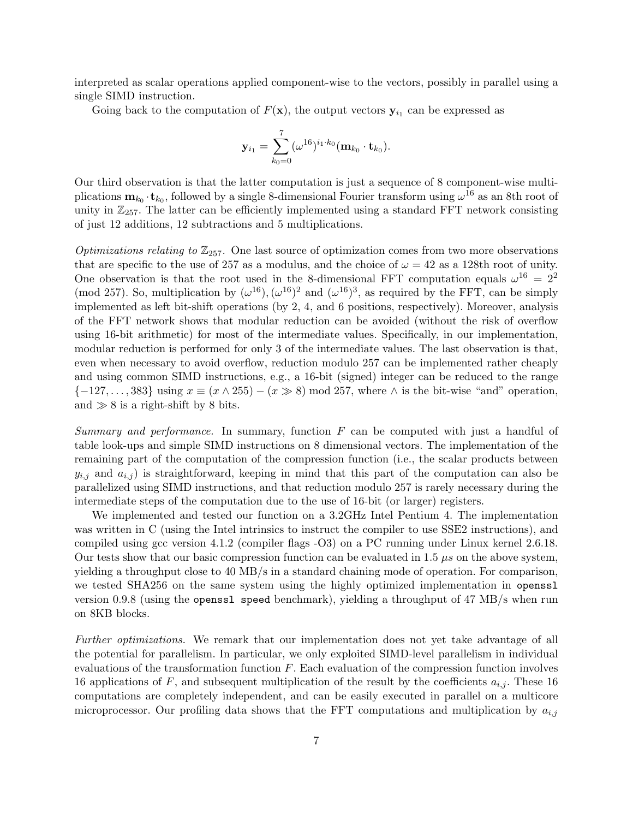interpreted as scalar operations applied component-wise to the vectors, possibly in parallel using a single SIMD instruction.

Going back to the computation of  $F(\mathbf{x})$ , the output vectors  $y_{i_1}$  can be expressed as

$$
\mathbf{y}_{i_1} = \sum_{k_0=0}^7 (\omega^{16})^{i_1 \cdot k_0} (\mathbf{m}_{k_0} \cdot \mathbf{t}_{k_0}).
$$

Our third observation is that the latter computation is just a sequence of 8 component-wise multiplications  $\mathbf{m}_{k_0} \cdot \mathbf{t}_{k_0}$ , followed by a single 8-dimensional Fourier transform using  $\omega^{16}$  as an 8th root of unity in  $\mathbb{Z}_{257}$ . The latter can be efficiently implemented using a standard FFT network consisting of just 12 additions, 12 subtractions and 5 multiplications.

*Optimizations relating to*  $\mathbb{Z}_{257}$ . One last source of optimization comes from two more observations that are specific to the use of 257 as a modulus, and the choice of  $\omega = 42$  as a 128th root of unity. One observation is that the root used in the 8-dimensional FFT computation equals  $\omega^{16} = 2^2$ (mod 257). So, multiplication by  $(\omega^{16})$ ,  $(\omega^{16})^2$  and  $(\omega^{16})^3$ , as required by the FFT, can be simply implemented as left bit-shift operations (by 2, 4, and 6 positions, respectively). Moreover, analysis of the FFT network shows that modular reduction can be avoided (without the risk of overflow using 16-bit arithmetic) for most of the intermediate values. Specifically, in our implementation, modular reduction is performed for only 3 of the intermediate values. The last observation is that, even when necessary to avoid overflow, reduction modulo 257 can be implemented rather cheaply and using common SIMD instructions, e.g., a 16-bit (signed) integer can be reduced to the range  ${-127, \ldots, 383}$  using  $x \equiv (x \wedge 255) - (x \gg 8) \pmod{257}$ , where  $\wedge$  is the bit-wise "and" operation, and  $\gg 8$  is a right-shift by 8 bits.

Summary and performance. In summary, function  $F$  can be computed with just a handful of table look-ups and simple SIMD instructions on 8 dimensional vectors. The implementation of the remaining part of the computation of the compression function (i.e., the scalar products between  $y_{i,j}$  and  $a_{i,j}$  is straightforward, keeping in mind that this part of the computation can also be parallelized using SIMD instructions, and that reduction modulo 257 is rarely necessary during the intermediate steps of the computation due to the use of 16-bit (or larger) registers.

We implemented and tested our function on a 3.2GHz Intel Pentium 4. The implementation was written in C (using the Intel intrinsics to instruct the compiler to use SSE2 instructions), and compiled using gcc version 4.1.2 (compiler flags -O3) on a PC running under Linux kernel 2.6.18. Our tests show that our basic compression function can be evaluated in 1.5  $\mu$ s on the above system, yielding a throughput close to 40 MB/s in a standard chaining mode of operation. For comparison, we tested SHA256 on the same system using the highly optimized implementation in openssl version 0.9.8 (using the openssl speed benchmark), yielding a throughput of 47 MB/s when run on 8KB blocks.

Further optimizations. We remark that our implementation does not yet take advantage of all the potential for parallelism. In particular, we only exploited SIMD-level parallelism in individual evaluations of the transformation function  $F$ . Each evaluation of the compression function involves 16 applications of F, and subsequent multiplication of the result by the coefficients  $a_{i,j}$ . These 16 computations are completely independent, and can be easily executed in parallel on a multicore microprocessor. Our profiling data shows that the FFT computations and multiplication by  $a_{i,j}$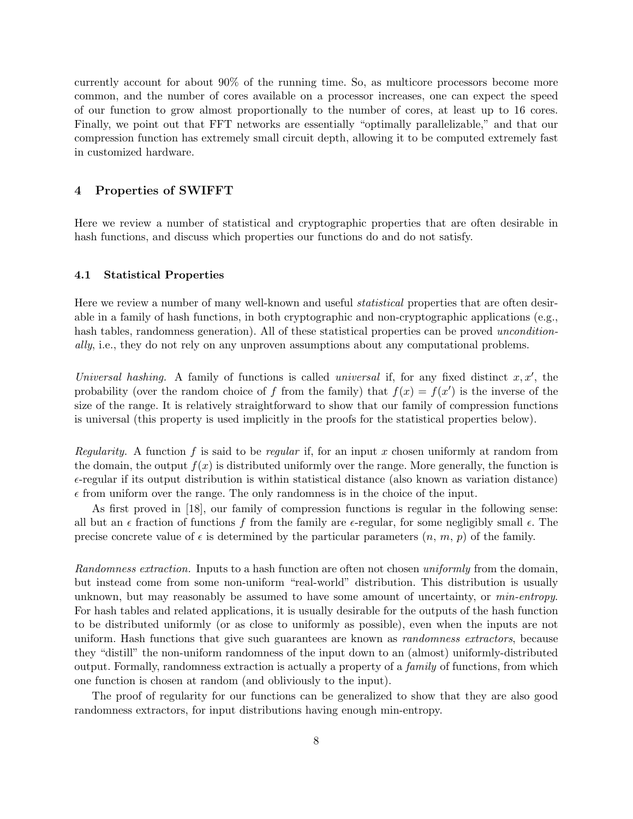currently account for about 90% of the running time. So, as multicore processors become more common, and the number of cores available on a processor increases, one can expect the speed of our function to grow almost proportionally to the number of cores, at least up to 16 cores. Finally, we point out that FFT networks are essentially "optimally parallelizable," and that our compression function has extremely small circuit depth, allowing it to be computed extremely fast in customized hardware.

# 4 Properties of SWIFFT

Here we review a number of statistical and cryptographic properties that are often desirable in hash functions, and discuss which properties our functions do and do not satisfy.

#### 4.1 Statistical Properties

Here we review a number of many well-known and useful *statistical* properties that are often desirable in a family of hash functions, in both cryptographic and non-cryptographic applications (e.g., hash tables, randomness generation). All of these statistical properties can be proved *uncondition*ally, i.e., they do not rely on any unproven assumptions about any computational problems.

Universal hashing. A family of functions is called universal if, for any fixed distinct  $x, x'$ , the probability (over the random choice of f from the family) that  $f(x) = f(x')$  is the inverse of the size of the range. It is relatively straightforward to show that our family of compression functions is universal (this property is used implicitly in the proofs for the statistical properties below).

Regularity. A function f is said to be regular if, for an input x chosen uniformly at random from the domain, the output  $f(x)$  is distributed uniformly over the range. More generally, the function is  $\epsilon$ -regular if its output distribution is within statistical distance (also known as variation distance)  $\epsilon$  from uniform over the range. The only randomness is in the choice of the input.

As first proved in [18], our family of compression functions is regular in the following sense: all but an  $\epsilon$  fraction of functions f from the family are  $\epsilon$ -regular, for some negligibly small  $\epsilon$ . The precise concrete value of  $\epsilon$  is determined by the particular parameters  $(n, m, p)$  of the family.

Randomness extraction. Inputs to a hash function are often not chosen uniformly from the domain, but instead come from some non-uniform "real-world" distribution. This distribution is usually unknown, but may reasonably be assumed to have some amount of uncertainty, or min-entropy. For hash tables and related applications, it is usually desirable for the outputs of the hash function to be distributed uniformly (or as close to uniformly as possible), even when the inputs are not uniform. Hash functions that give such guarantees are known as *randomness extractors*, because they "distill" the non-uniform randomness of the input down to an (almost) uniformly-distributed output. Formally, randomness extraction is actually a property of a family of functions, from which one function is chosen at random (and obliviously to the input).

The proof of regularity for our functions can be generalized to show that they are also good randomness extractors, for input distributions having enough min-entropy.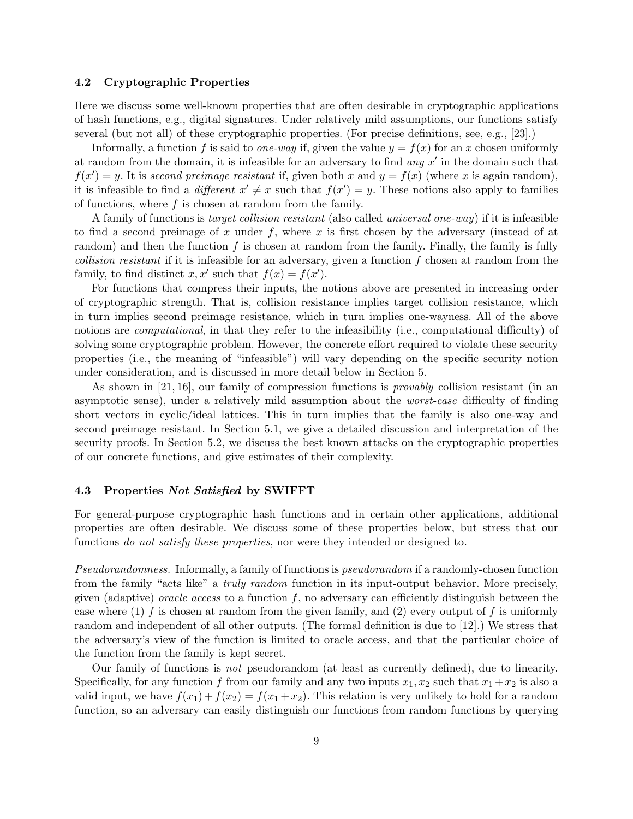#### 4.2 Cryptographic Properties

Here we discuss some well-known properties that are often desirable in cryptographic applications of hash functions, e.g., digital signatures. Under relatively mild assumptions, our functions satisfy several (but not all) of these cryptographic properties. (For precise definitions, see, e.g., [23].)

Informally, a function f is said to *one-way* if, given the value  $y = f(x)$  for an x chosen uniformly at random from the domain, it is infeasible for an adversary to find any  $x'$  in the domain such that  $f(x') = y$ . It is second preimage resistant if, given both x and  $y = f(x)$  (where x is again random), it is infeasible to find a *different*  $x' \neq x$  such that  $f(x') = y$ . These notions also apply to families of functions, where  $f$  is chosen at random from the family.

A family of functions is target collision resistant (also called universal one-way) if it is infeasible to find a second preimage of x under f, where x is first chosen by the adversary (instead of at random) and then the function  $f$  is chosen at random from the family. Finally, the family is fully collision resistant if it is infeasible for an adversary, given a function  $f$  chosen at random from the family, to find distinct x, x' such that  $f(x) = f(x')$ .

For functions that compress their inputs, the notions above are presented in increasing order of cryptographic strength. That is, collision resistance implies target collision resistance, which in turn implies second preimage resistance, which in turn implies one-wayness. All of the above notions are *computational*, in that they refer to the infeasibility (i.e., computational difficulty) of solving some cryptographic problem. However, the concrete effort required to violate these security properties (i.e., the meaning of "infeasible") will vary depending on the specific security notion under consideration, and is discussed in more detail below in Section 5.

As shown in  $[21, 16]$ , our family of compression functions is *provably* collision resistant (in an asymptotic sense), under a relatively mild assumption about the worst-case difficulty of finding short vectors in cyclic/ideal lattices. This in turn implies that the family is also one-way and second preimage resistant. In Section 5.1, we give a detailed discussion and interpretation of the security proofs. In Section 5.2, we discuss the best known attacks on the cryptographic properties of our concrete functions, and give estimates of their complexity.

#### 4.3 Properties Not Satisfied by SWIFFT

For general-purpose cryptographic hash functions and in certain other applications, additional properties are often desirable. We discuss some of these properties below, but stress that our functions *do not satisfy these properties*, nor were they intended or designed to.

Pseudorandomness. Informally, a family of functions is pseudorandom if a randomly-chosen function from the family "acts like" a *truly random* function in its input-output behavior. More precisely, given (adaptive) *oracle access* to a function  $f$ , no adversary can efficiently distinguish between the case where (1) f is chosen at random from the given family, and (2) every output of f is uniformly random and independent of all other outputs. (The formal definition is due to [12].) We stress that the adversary's view of the function is limited to oracle access, and that the particular choice of the function from the family is kept secret.

Our family of functions is not pseudorandom (at least as currently defined), due to linearity. Specifically, for any function f from our family and any two inputs  $x_1, x_2$  such that  $x_1 + x_2$  is also a valid input, we have  $f(x_1) + f(x_2) = f(x_1 + x_2)$ . This relation is very unlikely to hold for a random function, so an adversary can easily distinguish our functions from random functions by querying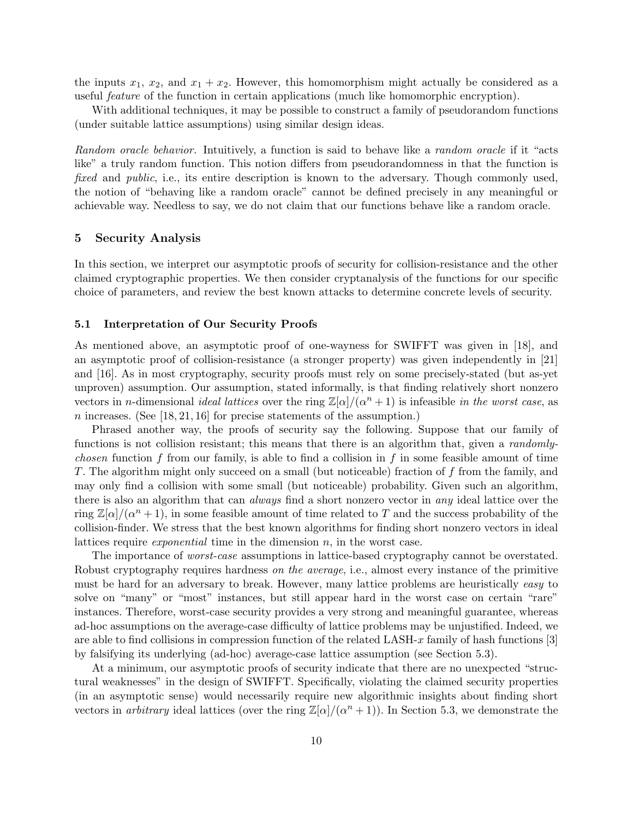the inputs  $x_1, x_2$ , and  $x_1 + x_2$ . However, this homomorphism might actually be considered as a useful feature of the function in certain applications (much like homomorphic encryption).

With additional techniques, it may be possible to construct a family of pseudorandom functions (under suitable lattice assumptions) using similar design ideas.

Random oracle behavior. Intuitively, a function is said to behave like a random oracle if it "acts" like" a truly random function. This notion differs from pseudorandomness in that the function is fixed and *public*, i.e., its entire description is known to the adversary. Though commonly used, the notion of "behaving like a random oracle" cannot be defined precisely in any meaningful or achievable way. Needless to say, we do not claim that our functions behave like a random oracle.

# 5 Security Analysis

In this section, we interpret our asymptotic proofs of security for collision-resistance and the other claimed cryptographic properties. We then consider cryptanalysis of the functions for our specific choice of parameters, and review the best known attacks to determine concrete levels of security.

#### 5.1 Interpretation of Our Security Proofs

As mentioned above, an asymptotic proof of one-wayness for SWIFFT was given in [18], and an asymptotic proof of collision-resistance (a stronger property) was given independently in [21] and [16]. As in most cryptography, security proofs must rely on some precisely-stated (but as-yet unproven) assumption. Our assumption, stated informally, is that finding relatively short nonzero vectors in *n*-dimensional *ideal lattices* over the ring  $\mathbb{Z}[\alpha]/(\alpha^n + 1)$  is infeasible *in the worst case*, as n increases. (See [18, 21, 16] for precise statements of the assumption.)

Phrased another way, the proofs of security say the following. Suppose that our family of functions is not collision resistant; this means that there is an algorithm that, given a *randomlychosen* function f from our family, is able to find a collision in f in some feasible amount of time T. The algorithm might only succeed on a small (but noticeable) fraction of f from the family, and may only find a collision with some small (but noticeable) probability. Given such an algorithm, there is also an algorithm that can always find a short nonzero vector in any ideal lattice over the ring  $\mathbb{Z}[\alpha]/(\alpha^n+1)$ , in some feasible amount of time related to T and the success probability of the collision-finder. We stress that the best known algorithms for finding short nonzero vectors in ideal lattices require *exponential* time in the dimension  $n$ , in the worst case.

The importance of worst-case assumptions in lattice-based cryptography cannot be overstated. Robust cryptography requires hardness on the average, i.e., almost every instance of the primitive must be hard for an adversary to break. However, many lattice problems are heuristically easy to solve on "many" or "most" instances, but still appear hard in the worst case on certain "rare" instances. Therefore, worst-case security provides a very strong and meaningful guarantee, whereas ad-hoc assumptions on the average-case difficulty of lattice problems may be unjustified. Indeed, we are able to find collisions in compression function of the related LASH-x family of hash functions  $[3]$ by falsifying its underlying (ad-hoc) average-case lattice assumption (see Section 5.3).

At a minimum, our asymptotic proofs of security indicate that there are no unexpected "structural weaknesses" in the design of SWIFFT. Specifically, violating the claimed security properties (in an asymptotic sense) would necessarily require new algorithmic insights about finding short vectors in arbitrary ideal lattices (over the ring  $\mathbb{Z}[\alpha]/(\alpha^n + 1)$ ). In Section 5.3, we demonstrate the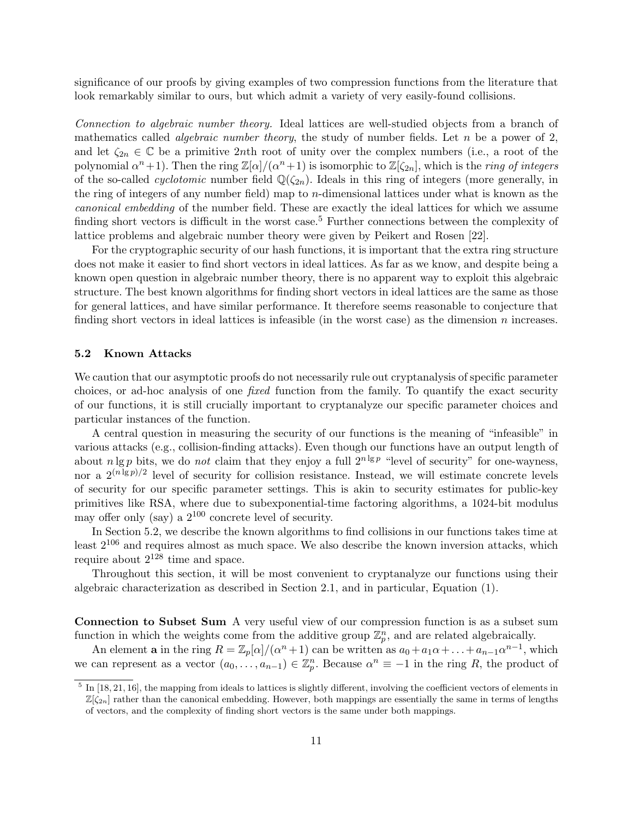significance of our proofs by giving examples of two compression functions from the literature that look remarkably similar to ours, but which admit a variety of very easily-found collisions.

Connection to algebraic number theory. Ideal lattices are well-studied objects from a branch of mathematics called *algebraic number theory*, the study of number fields. Let  $n$  be a power of 2, and let  $\zeta_{2n} \in \mathbb{C}$  be a primitive 2nth root of unity over the complex numbers (i.e., a root of the polynomial  $\alpha^n + 1$ ). Then the ring  $\mathbb{Z}[\alpha]/(\alpha^n + 1)$  is isomorphic to  $\mathbb{Z}[\zeta_{2n}]$ , which is the *ring of integers* of the so-called *cyclotomic* number field  $\mathbb{Q}(\zeta_{2n})$ . Ideals in this ring of integers (more generally, in the ring of integers of any number field) map to  $n$ -dimensional lattices under what is known as the canonical embedding of the number field. These are exactly the ideal lattices for which we assume finding short vectors is difficult in the worst case.<sup>5</sup> Further connections between the complexity of lattice problems and algebraic number theory were given by Peikert and Rosen [22].

For the cryptographic security of our hash functions, it is important that the extra ring structure does not make it easier to find short vectors in ideal lattices. As far as we know, and despite being a known open question in algebraic number theory, there is no apparent way to exploit this algebraic structure. The best known algorithms for finding short vectors in ideal lattices are the same as those for general lattices, and have similar performance. It therefore seems reasonable to conjecture that finding short vectors in ideal lattices is infeasible (in the worst case) as the dimension  $n$  increases.

#### 5.2 Known Attacks

We caution that our asymptotic proofs do not necessarily rule out cryptanalysis of specific parameter choices, or ad-hoc analysis of one fixed function from the family. To quantify the exact security of our functions, it is still crucially important to cryptanalyze our specific parameter choices and particular instances of the function.

A central question in measuring the security of our functions is the meaning of "infeasible" in various attacks (e.g., collision-finding attacks). Even though our functions have an output length of about n lg p bits, we do not claim that they enjoy a full  $2^{n \lg p}$  "level of security" for one-wayness, nor a  $2^{(n\lg p)/2}$  level of security for collision resistance. Instead, we will estimate concrete levels of security for our specific parameter settings. This is akin to security estimates for public-key primitives like RSA, where due to subexponential-time factoring algorithms, a 1024-bit modulus may offer only (say) a  $2^{100}$  concrete level of security.

In Section 5.2, we describe the known algorithms to find collisions in our functions takes time at least 2<sup>106</sup> and requires almost as much space. We also describe the known inversion attacks, which require about  $2^{128}$  time and space.

Throughout this section, it will be most convenient to cryptanalyze our functions using their algebraic characterization as described in Section 2.1, and in particular, Equation (1).

Connection to Subset Sum A very useful view of our compression function is as a subset sum function in which the weights come from the additive group  $\mathbb{Z}_p^n$ , and are related algebraically.

An element **a** in the ring  $R = \mathbb{Z}_p[\alpha]/(\alpha^n + 1)$  can be written as  $a_0 + a_1\alpha + \ldots + a_{n-1}\alpha^{n-1}$ , which we can represent as a vector  $(a_0, \ldots, a_{n-1}) \in \mathbb{Z}_p^n$ . Because  $\alpha^n \equiv -1$  in the ring R, the product of

 $5 \text{ In } [18, 21, 16]$ , the mapping from ideals to lattices is slightly different, involving the coefficient vectors of elements in  $\mathbb{Z}[\zeta_{2n}]$  rather than the canonical embedding. However, both mappings are essentially the same in terms of lengths of vectors, and the complexity of finding short vectors is the same under both mappings.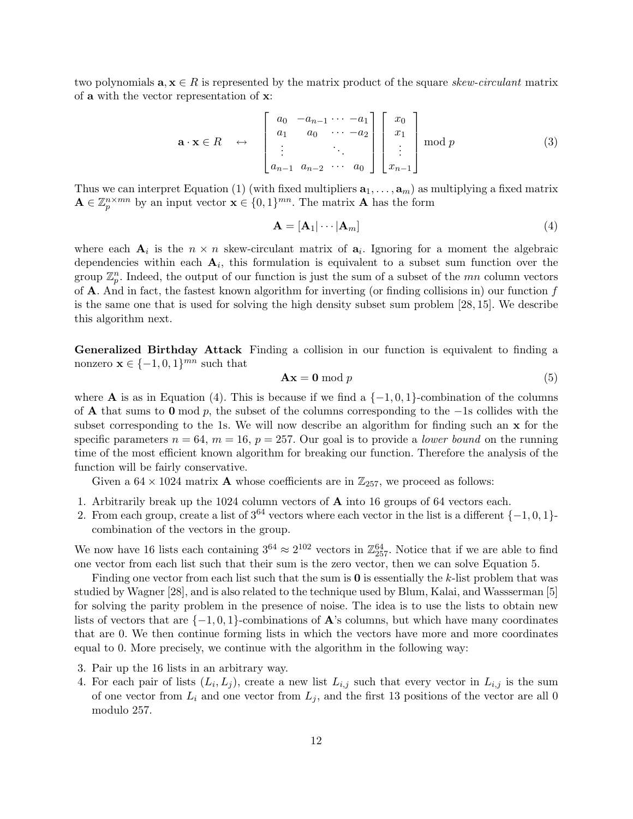two polynomials  $\mathbf{a}, \mathbf{x} \in R$  is represented by the matrix product of the square skew-circulant matrix of a with the vector representation of x:

$$
\mathbf{a} \cdot \mathbf{x} \in R \quad \leftrightarrow \quad \begin{bmatrix} a_0 & -a_{n-1} & \cdots & -a_1 \\ a_1 & a_0 & \cdots & -a_2 \\ \vdots & \vdots & \ddots & \vdots \\ a_{n-1} & a_{n-2} & \cdots & a_0 \end{bmatrix} \begin{bmatrix} x_0 \\ x_1 \\ \vdots \\ x_{n-1} \end{bmatrix} \bmod p \tag{3}
$$

Thus we can interpret Equation (1) (with fixed multipliers  $\mathbf{a}_1, \ldots, \mathbf{a}_m$ ) as multiplying a fixed matrix  $\mathbf{A} \in \mathbb{Z}_p^{n \times mn}$  by an input vector  $\mathbf{x} \in \{0,1\}^{mn}$ . The matrix **A** has the form

$$
\mathbf{A} = [\mathbf{A}_1 | \cdots | \mathbf{A}_m] \tag{4}
$$

where each  $A_i$  is the  $n \times n$  skew-circulant matrix of  $a_i$ . Ignoring for a moment the algebraic dependencies within each  $A_i$ , this formulation is equivalent to a subset sum function over the group  $\mathbb{Z}_p^n$ . Indeed, the output of our function is just the sum of a subset of the mn column vectors of  $A$ . And in fact, the fastest known algorithm for inverting (or finding collisions in) our function  $f$ is the same one that is used for solving the high density subset sum problem [28, 15]. We describe this algorithm next.

Generalized Birthday Attack Finding a collision in our function is equivalent to finding a nonzero  $\mathbf{x} \in \{-1, 0, 1\}^{mn}$  such that

$$
Ax = 0 \bmod p \tag{5}
$$

where **A** is as in Equation (4). This is because if we find a  $\{-1, 0, 1\}$ -combination of the columns of A that sums to 0 mod p, the subset of the columns corresponding to the  $-1$ s collides with the subset corresponding to the 1s. We will now describe an algorithm for finding such an x for the specific parameters  $n = 64$ ,  $m = 16$ ,  $p = 257$ . Our goal is to provide a *lower bound* on the running time of the most efficient known algorithm for breaking our function. Therefore the analysis of the function will be fairly conservative.

Given a  $64 \times 1024$  matrix **A** whose coefficients are in  $\mathbb{Z}_{257}$ , we proceed as follows:

- 1. Arbitrarily break up the 1024 column vectors of A into 16 groups of 64 vectors each.
- 2. From each group, create a list of  $3^{64}$  vectors where each vector in the list is a different  $\{-1,0,1\}$ combination of the vectors in the group.

We now have 16 lists each containing  $3^{64} \approx 2^{102}$  vectors in  $\mathbb{Z}_{257}^{64}$ . Notice that if we are able to find one vector from each list such that their sum is the zero vector, then we can solve Equation 5.

Finding one vector from each list such that the sum is  $\bf{0}$  is essentially the k-list problem that was studied by Wagner [28], and is also related to the technique used by Blum, Kalai, and Wassserman [5] for solving the parity problem in the presence of noise. The idea is to use the lists to obtain new lists of vectors that are  $\{-1, 0, 1\}$ -combinations of **A**'s columns, but which have many coordinates that are 0. We then continue forming lists in which the vectors have more and more coordinates equal to 0. More precisely, we continue with the algorithm in the following way:

- 3. Pair up the 16 lists in an arbitrary way.
- 4. For each pair of lists  $(L_i, L_j)$ , create a new list  $L_{i,j}$  such that every vector in  $L_{i,j}$  is the sum of one vector from  $L_i$  and one vector from  $L_j$ , and the first 13 positions of the vector are all 0 modulo 257.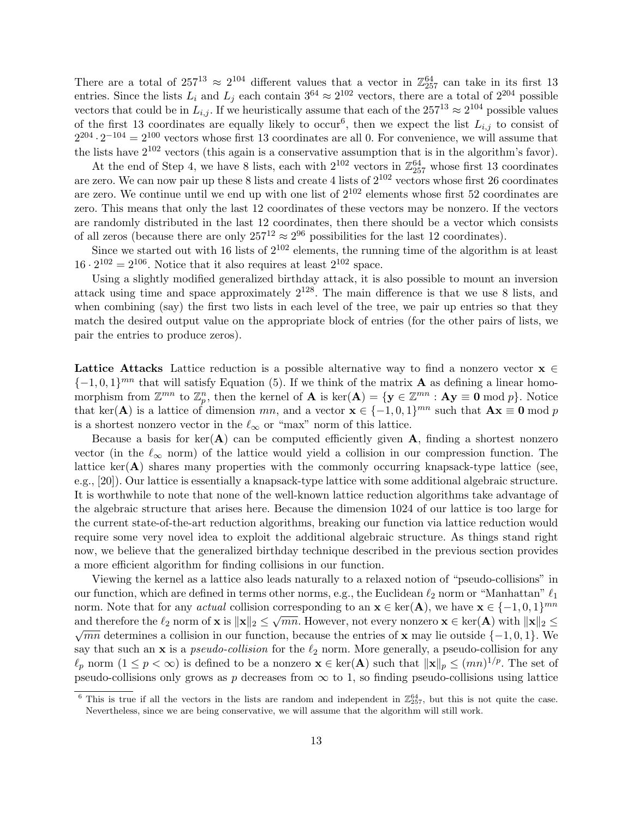There are a total of  $257^{13} \approx 2^{104}$  different values that a vector in  $\mathbb{Z}_{257}^{64}$  can take in its first 13 entries. Since the lists  $L_i$  and  $L_j$  each contain  $3^{64} \approx 2^{102}$  vectors, there are a total of  $2^{204}$  possible vectors that could be in  $L_{i,j}$ . If we heuristically assume that each of the  $257^{13} \approx 2^{104}$  possible values of the first 13 coordinates are equally likely to occur<sup>6</sup>, then we expect the list  $L_{i,j}$  to consist of  $2^{204} \cdot 2^{-104} = 2^{100}$  vectors whose first 13 coordinates are all 0. For convenience, we will assume that the lists have  $2^{102}$  vectors (this again is a conservative assumption that is in the algorithm's favor).

At the end of Step 4, we have 8 lists, each with  $2^{102}$  vectors in  $\mathbb{Z}_{257}^{64}$  whose first 13 coordinates are zero. We can now pair up these 8 lists and create 4 lists of 2<sup>102</sup> vectors whose first 26 coordinates are zero. We continue until we end up with one list of  $2^{102}$  elements whose first 52 coordinates are zero. This means that only the last 12 coordinates of these vectors may be nonzero. If the vectors are randomly distributed in the last 12 coordinates, then there should be a vector which consists of all zeros (because there are only  $257^{12} \approx 2^{96}$  possibilities for the last 12 coordinates).

Since we started out with 16 lists of  $2^{102}$  elements, the running time of the algorithm is at least  $16 \cdot 2^{102} = 2^{106}$ . Notice that it also requires at least  $2^{102}$  space.

Using a slightly modified generalized birthday attack, it is also possible to mount an inversion attack using time and space approximately  $2^{128}$ . The main difference is that we use 8 lists, and when combining (say) the first two lists in each level of the tree, we pair up entries so that they match the desired output value on the appropriate block of entries (for the other pairs of lists, we pair the entries to produce zeros).

Lattice Attacks Lattice reduction is a possible alternative way to find a nonzero vector  $x \in$  $\{-1,0,1\}^{mn}$  that will satisfy Equation (5). If we think of the matrix **A** as defining a linear homomorphism from  $\mathbb{Z}^{mn}$  to  $\mathbb{Z}_p^n$ , then the kernel of **A** is ker(**A**) = {**y**  $\in \mathbb{Z}^{mn}$  : **Ay**  $\equiv$  **0** mod p}. Notice that ker(A) is a lattice of dimension  $mn$ , and a vector  $\mathbf{x} \in \{-1,0,1\}^{mn}$  such that  $\mathbf{A}\mathbf{x} \equiv \mathbf{0} \bmod p$ is a shortest nonzero vector in the  $\ell_{\infty}$  or "max" norm of this lattice.

Because a basis for  $\text{ker}(A)$  can be computed efficiently given A, finding a shortest nonzero vector (in the  $\ell_{\infty}$  norm) of the lattice would yield a collision in our compression function. The lattice  $\ker(A)$  shares many properties with the commonly occurring knapsack-type lattice (see, e.g., [20]). Our lattice is essentially a knapsack-type lattice with some additional algebraic structure. It is worthwhile to note that none of the well-known lattice reduction algorithms take advantage of the algebraic structure that arises here. Because the dimension 1024 of our lattice is too large for the current state-of-the-art reduction algorithms, breaking our function via lattice reduction would require some very novel idea to exploit the additional algebraic structure. As things stand right now, we believe that the generalized birthday technique described in the previous section provides a more efficient algorithm for finding collisions in our function.

Viewing the kernel as a lattice also leads naturally to a relaxed notion of "pseudo-collisions" in our function, which are defined in terms other norms, e.g., the Euclidean  $\ell_2$  norm or "Manhattan"  $\ell_1$ norm. Note that for any *actual* collision corresponding to an  $\mathbf{x} \in \text{ker}(\mathbf{A})$ , we have  $\mathbf{x} \in \{-1, 0, 1\}^{mn}$ and therefore the  $\ell_2$  norm of  $\mathbf{x}$  is  $\|\mathbf{x}\|_2 \leq \sqrt{mn}$ . However, not every nonzero  $\mathbf{x} \in \text{ker}(\mathbf{A})$  with  $\|\mathbf{x}\|_2 \leq \sqrt{mn}$ .  $\sqrt{mn}$  determines a collision in our function, because the entries of x may lie outside  $\{-1, 0, 1\}$ . We say that such an  $x$  is a *pseudo-collision* for the  $\ell_2$  norm. More generally, a pseudo-collision for any  $\ell_p$  norm  $(1 \leq p < \infty)$  is defined to be a nonzero  $\mathbf{x} \in \text{ker}(\mathbf{A})$  such that  $\|\mathbf{x}\|_p \leq (mn)^{1/p}$ . The set of pseudo-collisions only grows as p decreases from  $\infty$  to 1, so finding pseudo-collisions using lattice

<sup>&</sup>lt;sup>6</sup> This is true if all the vectors in the lists are random and independent in  $\mathbb{Z}_{257}^{64}$ , but this is not quite the case. Nevertheless, since we are being conservative, we will assume that the algorithm will still work.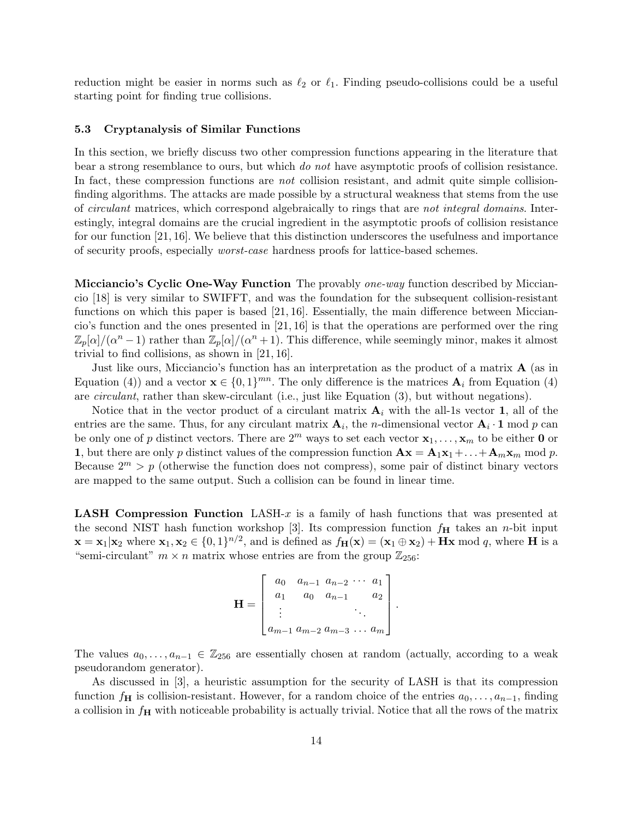reduction might be easier in norms such as  $\ell_2$  or  $\ell_1$ . Finding pseudo-collisions could be a useful starting point for finding true collisions.

#### 5.3 Cryptanalysis of Similar Functions

In this section, we briefly discuss two other compression functions appearing in the literature that bear a strong resemblance to ours, but which do not have asymptotic proofs of collision resistance. In fact, these compression functions are *not* collision resistant, and admit quite simple collisionfinding algorithms. The attacks are made possible by a structural weakness that stems from the use of circulant matrices, which correspond algebraically to rings that are not integral domains. Interestingly, integral domains are the crucial ingredient in the asymptotic proofs of collision resistance for our function [21, 16]. We believe that this distinction underscores the usefulness and importance of security proofs, especially worst-case hardness proofs for lattice-based schemes.

Micciancio's Cyclic One-Way Function The provably one-way function described by Micciancio [18] is very similar to SWIFFT, and was the foundation for the subsequent collision-resistant functions on which this paper is based [21, 16]. Essentially, the main difference between Micciancio's function and the ones presented in [21, 16] is that the operations are performed over the ring  $\mathbb{Z}_p[\alpha]/(\alpha^n-1)$  rather than  $\mathbb{Z}_p[\alpha]/(\alpha^n+1)$ . This difference, while seemingly minor, makes it almost trivial to find collisions, as shown in [21, 16].

Just like ours, Micciancio's function has an interpretation as the product of a matrix A (as in Equation (4)) and a vector  $\mathbf{x} \in \{0,1\}^{mn}$ . The only difference is the matrices  $\mathbf{A}_i$  from Equation (4) are *circulant*, rather than skew-circulant (i.e., just like Equation (3), but without negations).

Notice that in the vector product of a circulant matrix  $A_i$  with the all-1s vector 1, all of the entries are the same. Thus, for any circulant matrix  $A_i$ , the *n*-dimensional vector  $A_i \cdot 1 \mod p$  can be only one of p distinct vectors. There are  $2^m$  ways to set each vector  $x_1, \ldots, x_m$  to be either 0 or 1, but there are only p distinct values of the compression function  $\mathbf{A}\mathbf{x} = \mathbf{A}_1\mathbf{x}_1 + \ldots + \mathbf{A}_m\mathbf{x}_m$  mod p. Because  $2^m > p$  (otherwise the function does not compress), some pair of distinct binary vectors are mapped to the same output. Such a collision can be found in linear time.

**LASH Compression Function** LASH-x is a family of hash functions that was presented at the second NIST hash function workshop [3]. Its compression function  $f_{\rm H}$  takes an n-bit input  $\mathbf{x} = \mathbf{x}_1 | \mathbf{x}_2$  where  $\mathbf{x}_1, \mathbf{x}_2 \in \{0, 1\}^{n/2}$ , and is defined as  $f_{\mathbf{H}}(\mathbf{x}) = (\mathbf{x}_1 \oplus \mathbf{x}_2) + \mathbf{H}\mathbf{x} \bmod q$ , where **H** is a "semi-circulant"  $m \times n$  matrix whose entries are from the group  $\mathbb{Z}_{256}$ :

$$
\mathbf{H} = \begin{bmatrix} a_0 & a_{n-1} & a_{n-2} & \cdots & a_1 \\ a_1 & a_0 & a_{n-1} & a_2 \\ \vdots & & & \ddots & \\ a_{m-1} & a_{m-2} & a_{m-3} & \cdots & a_m \end{bmatrix}
$$

.

The values  $a_0, \ldots, a_{n-1} \in \mathbb{Z}_{256}$  are essentially chosen at random (actually, according to a weak pseudorandom generator).

As discussed in [3], a heuristic assumption for the security of LASH is that its compression function  $f_{\mathbf{H}}$  is collision-resistant. However, for a random choice of the entries  $a_0, \ldots, a_{n-1}$ , finding a collision in  $f_{\rm H}$  with noticeable probability is actually trivial. Notice that all the rows of the matrix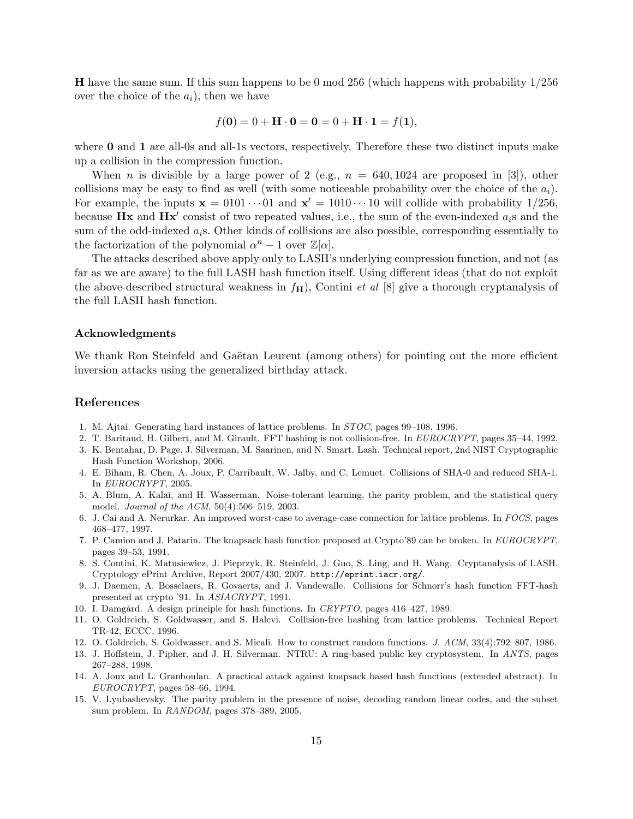H have the same sum. If this sum happens to be 0 mod 256 (which happens with probability 1/256 over the choice of the  $a_i$ ), then we have

$$
f(\mathbf{0}) = 0 + \mathbf{H} \cdot \mathbf{0} = \mathbf{0} = 0 + \mathbf{H} \cdot \mathbf{1} = f(\mathbf{1}),
$$

where **0** and **1** are all-0s and all-1s vectors, respectively. Therefore these two distinct inputs make up a collision in the compression function.

When n is divisible by a large power of 2 (e.g.,  $n = 640,1024$  are proposed in [3]), other collisions may be easy to find as well (with some noticeable probability over the choice of the  $a_i$ ). For example, the inputs  $\mathbf{x} = 0101 \cdots 01$  and  $\mathbf{x}' = 1010 \cdots 10$  will collide with probability 1/256, because  $\mathbf{H} \mathbf{x}$  and  $\mathbf{H} \mathbf{x}'$  consist of two repeated values, i.e., the sum of the even-indexed  $a_i$ s and the sum of the odd-indexed  $a_i$ s. Other kinds of collisions are also possible, corresponding essentially to the factorization of the polynomial  $\alpha^n - 1$  over  $\mathbb{Z}[\alpha]$ .

The attacks described above apply only to LASH's underlying compression function, and not (as far as we are aware) to the full LASH hash function itself. Using different ideas (that do not exploit the above-described structural weakness in  $f_H$ ), Contini *et al* [8] give a thorough cryptanalysis of the full LASH hash function.

#### Acknowledgments

We thank Ron Steinfeld and Gaëtan Leurent (among others) for pointing out the more efficient inversion attacks using the generalized birthday attack.

# References

- 1. M. Ajtai. Generating hard instances of lattice problems. In STOC, pages 99–108, 1996.
- 2. T. Baritaud, H. Gilbert, and M. Girault. FFT hashing is not collision-free. In EUROCRYPT, pages 35–44, 1992.
- 3. K. Bentahar, D. Page, J. Silverman, M. Saarinen, and N. Smart. Lash. Technical report, 2nd NIST Cryptographic Hash Function Workshop, 2006.
- 4. E. Biham, R. Chen, A. Joux, P. Carribault, W. Jalby, and C. Lemuet. Collisions of SHA-0 and reduced SHA-1. In EUROCRYPT, 2005.
- 5. A. Blum, A. Kalai, and H. Wasserman. Noise-tolerant learning, the parity problem, and the statistical query model. Journal of the ACM, 50(4):506–519, 2003.
- 6. J. Cai and A. Nerurkar. An improved worst-case to average-case connection for lattice problems. In FOCS, pages 468–477, 1997.
- 7. P. Camion and J. Patarin. The knapsack hash function proposed at Crypto'89 can be broken. In EUROCRYPT, pages 39–53, 1991.
- 8. S. Contini, K. Matusiewicz, J. Pieprzyk, R. Steinfeld, J. Guo, S. Ling, and H. Wang. Cryptanalysis of LASH. Cryptology ePrint Archive, Report 2007/430, 2007. http://eprint.iacr.org/.
- 9. J. Daemen, A. Bosselaers, R. Govaerts, and J. Vandewalle. Collisions for Schnorr's hash function FFT-hash presented at crypto '91. In ASIACRYPT, 1991.
- 10. I. Damgård. A design principle for hash functions. In  $CRYPTO$ , pages 416–427, 1989.
- 11. O. Goldreich, S. Goldwasser, and S. Halevi. Collision-free hashing from lattice problems. Technical Report TR-42, ECCC, 1996.
- 12. O. Goldreich, S. Goldwasser, and S. Micali. How to construct random functions. J. ACM, 33(4):792–807, 1986.
- 13. J. Hoffstein, J. Pipher, and J. H. Silverman. NTRU: A ring-based public key cryptosystem. In ANTS, pages 267–288, 1998.
- 14. A. Joux and L. Granboulan. A practical attack against knapsack based hash functions (extended abstract). In  $EUROCRYPT$ , pages 58–66, 1994.
- 15. V. Lyubashevsky. The parity problem in the presence of noise, decoding random linear codes, and the subset sum problem. In RANDOM, pages 378–389, 2005.